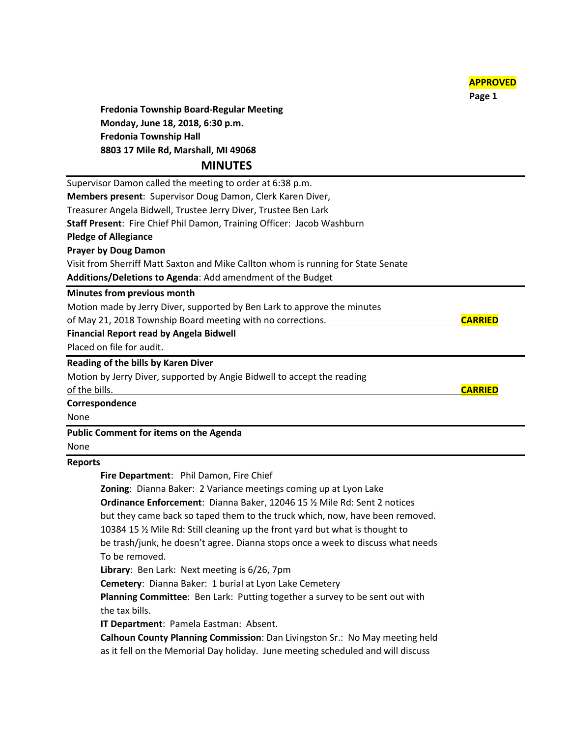**Page 1 Fredonia Township Board-Regular Meeting Monday, June 18, 2018, 6:30 p.m. Fredonia Township Hall 8803 17 Mile Rd, Marshall, MI 49068 MINUTES** Supervisor Damon called the meeting to order at 6:38 p.m. **Members present**: Supervisor Doug Damon, Clerk Karen Diver, Treasurer Angela Bidwell, Trustee Jerry Diver, Trustee Ben Lark **Staff Present**: Fire Chief Phil Damon, Training Officer: Jacob Washburn **Pledge of Allegiance Prayer by Doug Damon** Visit from Sherriff Matt Saxton and Mike Callton whom is running for State Senate **Additions/Deletions to Agenda**: Add amendment of the Budget **Minutes from previous month** Motion made by Jerry Diver, supported by Ben Lark to approve the minutes of May 21, 2018 Township Board meeting with no corrections. **CARRIED Financial Report read by Angela Bidwell** Placed on file for audit. **Reading of the bills by Karen Diver** Motion by Jerry Diver, supported by Angie Bidwell to accept the reading of the bills. **CARRIED Correspondence** None **Public Comment for items on the Agenda** None

**APPROVED**

## **Reports**

**Fire Department**: Phil Damon, Fire Chief

**Zoning**: Dianna Baker: 2 Variance meetings coming up at Lyon Lake **Ordinance Enforcement**: Dianna Baker, 12046 15 ½ Mile Rd: Sent 2 notices but they came back so taped them to the truck which, now, have been removed. 10384 15 ½ Mile Rd: Still cleaning up the front yard but what is thought to be trash/junk, he doesn't agree. Dianna stops once a week to discuss what needs To be removed.

**Library**: Ben Lark: Next meeting is 6/26, 7pm

**Cemetery**: Dianna Baker: 1 burial at Lyon Lake Cemetery

**Planning Committee**: Ben Lark: Putting together a survey to be sent out with the tax bills.

**IT Department**: Pamela Eastman: Absent.

**Calhoun County Planning Commission**: Dan Livingston Sr.: No May meeting held as it fell on the Memorial Day holiday. June meeting scheduled and will discuss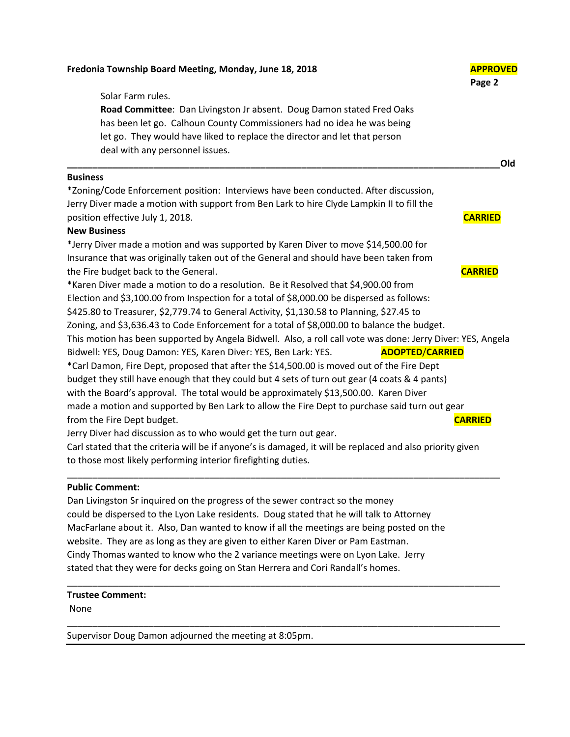| Fredonia Township Board Meeting, Monday, June 18, 2018                                                      | <b>APPROVED</b><br>Page 2 |
|-------------------------------------------------------------------------------------------------------------|---------------------------|
| Solar Farm rules.                                                                                           |                           |
| Road Committee: Dan Livingston Jr absent. Doug Damon stated Fred Oaks                                       |                           |
| has been let go. Calhoun County Commissioners had no idea he was being                                      |                           |
| let go. They would have liked to replace the director and let that person                                   |                           |
| deal with any personnel issues.                                                                             | Old                       |
| <b>Business</b>                                                                                             |                           |
| *Zoning/Code Enforcement position: Interviews have been conducted. After discussion,                        |                           |
| Jerry Diver made a motion with support from Ben Lark to hire Clyde Lampkin II to fill the                   |                           |
| position effective July 1, 2018.                                                                            | <b>CARRIED</b>            |
| <b>New Business</b>                                                                                         |                           |
| *Jerry Diver made a motion and was supported by Karen Diver to move \$14,500.00 for                         |                           |
| Insurance that was originally taken out of the General and should have been taken from                      |                           |
| the Fire budget back to the General.                                                                        | <b>CARRIED</b>            |
| *Karen Diver made a motion to do a resolution. Be it Resolved that \$4,900.00 from                          |                           |
| Election and \$3,100.00 from Inspection for a total of \$8,000.00 be dispersed as follows:                  |                           |
| \$425.80 to Treasurer, \$2,779.74 to General Activity, \$1,130.58 to Planning, \$27.45 to                   |                           |
| Zoning, and \$3,636.43 to Code Enforcement for a total of \$8,000.00 to balance the budget.                 |                           |
| This motion has been supported by Angela Bidwell. Also, a roll call vote was done: Jerry Diver: YES, Angela |                           |
| Bidwell: YES, Doug Damon: YES, Karen Diver: YES, Ben Lark: YES.<br><b>ADOPTED/CARRIED</b>                   |                           |
| *Carl Damon, Fire Dept, proposed that after the \$14,500.00 is moved out of the Fire Dept                   |                           |
| budget they still have enough that they could but 4 sets of turn out gear (4 coats & 4 pants)               |                           |
| with the Board's approval. The total would be approximately \$13,500.00. Karen Diver                        |                           |
| made a motion and supported by Ben Lark to allow the Fire Dept to purchase said turn out gear               |                           |
| from the Fire Dept budget.                                                                                  | <b>CARRIED</b>            |
| Jerry Diver had discussion as to who would get the turn out gear.                                           |                           |
| Carl stated that the criteria will be if anyone's is damaged, it will be replaced and also priority given   |                           |
| to those most likely performing interior firefighting duties.                                               |                           |
| <b>Public Comment:</b>                                                                                      |                           |
| Dan Livingston Sr inquired on the progress of the sewer contract so the money                               |                           |
| could be dispersed to the Lyon Lake residents. Doug stated that he will talk to Attorney                    |                           |
| MacFarlane about it. Also, Dan wanted to know if all the meetings are being posted on the                   |                           |
| website. They are as long as they are given to either Karen Diver or Pam Eastman.                           |                           |
| Cindy Thomas wanted to know who the 2 variance meetings were on Lyon Lake. Jerry                            |                           |

stated that they were for decks going on Stan Herrera and Cori Randall's homes.

\_\_\_\_\_\_\_\_\_\_\_\_\_\_\_\_\_\_\_\_\_\_\_\_\_\_\_\_\_\_\_\_\_\_\_\_\_\_\_\_\_\_\_\_\_\_\_\_\_\_\_\_\_\_\_\_\_\_\_\_\_\_\_\_\_\_\_\_\_\_\_\_\_\_\_\_\_\_\_\_\_\_\_\_\_

\_\_\_\_\_\_\_\_\_\_\_\_\_\_\_\_\_\_\_\_\_\_\_\_\_\_\_\_\_\_\_\_\_\_\_\_\_\_\_\_\_\_\_\_\_\_\_\_\_\_\_\_\_\_\_\_\_\_\_\_\_\_\_\_\_\_\_\_\_\_\_\_\_\_\_\_\_\_\_\_\_\_\_\_\_

## **Trustee Comment:**

None

Supervisor Doug Damon adjourned the meeting at 8:05pm.